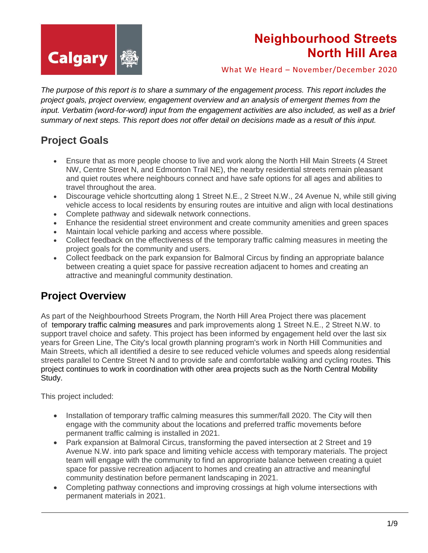

What We Heard – November/December 2020

*The purpose of this report is to share a summary of the engagement process. This report includes the project goals, project overview, engagement overview and an analysis of emergent themes from the input. Verbatim (word-for-word) input from the engagement activities are also included, as well as a brief summary of next steps. This report does not offer detail on decisions made as a result of this input.*

### **Project Goals**

- Ensure that as more people choose to live and work along the North Hill Main Streets (4 Street NW, Centre Street N, and Edmonton Trail NE), the nearby residential streets remain pleasant and quiet routes where neighbours connect and have safe options for all ages and abilities to travel throughout the area.
- Discourage vehicle shortcutting along 1 Street N.E., 2 Street N.W., 24 Avenue N, while still giving vehicle access to local residents by ensuring routes are intuitive and align with local destinations
- Complete pathway and sidewalk network connections.
- Enhance the residential street environment and create community amenities and green spaces
- Maintain local vehicle parking and access where possible.
- Collect feedback on the effectiveness of the temporary traffic calming measures in meeting the project goals for the community and users.
- Collect feedback on the park expansion for Balmoral Circus by finding an appropriate balance between creating a quiet space for passive recreation adjacent to homes and creating an attractive and meaningful community destination.

### **Project Overview**

As part of the Neighbourhood Streets Program, the North Hill Area Project there was placement of [temporary traffic calming measures](https://www.calgary.ca/content/dam/www/transportation/tp/documents/projects/current-planning-projects/neighbourhood-streets/north-hill-traffic-calming-map-june-23-2020.pdf) and park improvements along 1 Street N.E., 2 Street N.W. to support travel choice and safety. This project has been informed by engagement held over the last six years for Green Line, The City's local growth planning program's work in North Hill Communities and Main Streets, which all identified a desire to see reduced vehicle volumes and speeds along residential streets parallel to Centre Street N and to provide safe and comfortable walking and cycling routes. This project continues to work in coordination with other area projects such as the North Central Mobility Study.

This project included:

- Installation of temporary traffic calming measures this summer/fall 2020. The City will then engage with the community about the locations and preferred traffic movements before permanent traffic calming is installed in 2021.
- Park expansion at Balmoral Circus, transforming the paved intersection at 2 Street and 19 Avenue N.W. into park space and limiting vehicle access with temporary materials. The project team will engage with the community to find an appropriate balance between creating a quiet space for passive recreation adjacent to homes and creating an attractive and meaningful community destination before permanent landscaping in 2021.
- Completing pathway connections and improving crossings at high volume intersections with permanent materials in 2021.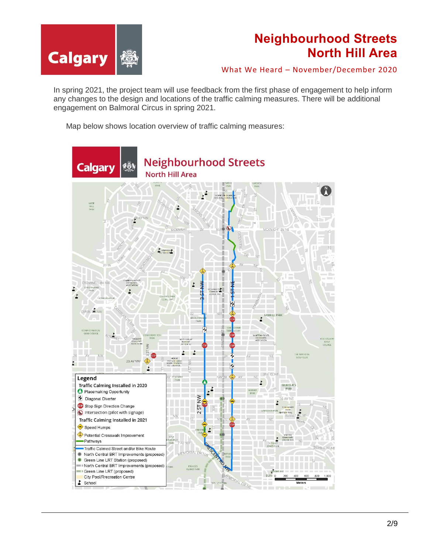

What We Heard – November/December 2020

In spring 2021, the project team will use feedback from the first phase of engagement to help inform any changes to the design and locations of the traffic calming measures. There will be additional engagement on Balmoral Circus in spring 2021.

Map below shows location overview of traffic calming measures:

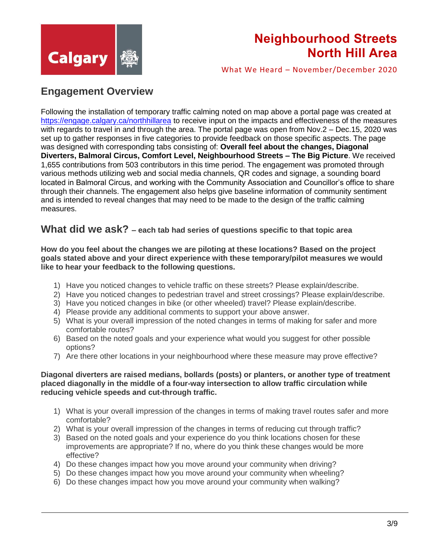

What We Heard – November/December 2020

### **Engagement Overview**

Following the installation of temporary traffic calming noted on map above a portal page was created at <https://engage.calgary.ca/northhillarea> to receive input on the impacts and effectiveness of the measures with regards to travel in and through the area. The portal page was open from Nov.2 – Dec.15, 2020 was set up to gather responses in five categories to provide feedback on those specific aspects. The page was designed with corresponding tabs consisting of: **Overall feel about the changes, Diagonal Diverters, Balmoral Circus, Comfort Level, Neighbourhood Streets – The Big Picture**. We received 1,655 contributions from 503 contributors in this time period. The engagement was promoted through various methods utilizing web and social media channels, QR codes and signage, a sounding board located in Balmoral Circus, and working with the Community Association and Councillor's office to share through their channels. The engagement also helps give baseline information of community sentiment and is intended to reveal changes that may need to be made to the design of the traffic calming measures.

### **What did we ask? – each tab had series of questions specific to that topic area**

**How do you feel about the changes we are piloting at these locations? Based on the project goals stated above and your direct experience with these temporary/pilot measures we would like to hear your feedback to the following questions.**

- 1) Have you noticed changes to vehicle traffic on these streets? Please explain/describe.
- 2) Have you noticed changes to pedestrian travel and street crossings? Please explain/describe.
- 3) Have you noticed changes in bike (or other wheeled) travel? Please explain/describe.
- 4) Please provide any additional comments to support your above answer.
- 5) What is your overall impression of the noted changes in terms of making for safer and more comfortable routes?
- 6) Based on the noted goals and your experience what would you suggest for other possible options?
- 7) Are there other locations in your neighbourhood where these measure may prove effective?

#### **Diagonal diverters are raised medians, bollards (posts) or planters, or another type of treatment placed diagonally in the middle of a four-way intersection to allow traffic circulation while reducing vehicle speeds and cut-through traffic.**

- 1) What is your overall impression of the changes in terms of making travel routes safer and more comfortable?
- 2) What is your overall impression of the changes in terms of reducing cut through traffic?
- 3) Based on the noted goals and your experience do you think locations chosen for these improvements are appropriate? If no, where do you think these changes would be more effective?
- 4) Do these changes impact how you move around your community when driving?
- 5) Do these changes impact how you move around your community when wheeling?
- 6) Do these changes impact how you move around your community when walking?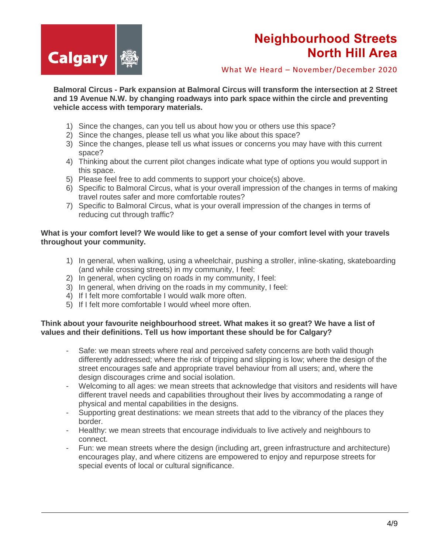

What We Heard – November/December 2020

**Balmoral Circus - Park expansion at Balmoral Circus will transform the intersection at 2 Street and 19 Avenue N.W. by changing roadways into park space within the circle and preventing vehicle access with temporary materials.**

- 1) Since the changes, can you tell us about how you or others use this space?
- 2) Since the changes, please tell us what you like about this space?
- 3) Since the changes, please tell us what issues or concerns you may have with this current space?
- 4) Thinking about the current pilot changes indicate what type of options you would support in this space.
- 5) Please feel free to add comments to support your choice(s) above.
- 6) Specific to Balmoral Circus, what is your overall impression of the changes in terms of making travel routes safer and more comfortable routes?
- 7) Specific to Balmoral Circus, what is your overall impression of the changes in terms of reducing cut through traffic?

#### **What is your comfort level? We would like to get a sense of your comfort level with your travels throughout your community.**

- 1) In general, when walking, using a wheelchair, pushing a stroller, inline-skating, skateboarding (and while crossing streets) in my community, I feel:
- 2) In general, when cycling on roads in my community, I feel:
- 3) In general, when driving on the roads in my community, I feel:
- 4) If I felt more comfortable I would walk more often.
- 5) If I felt more comfortable I would wheel more often.

#### **Think about your favourite neighbourhood street. What makes it so great? We have a list of values and their definitions. Tell us how important these should be for Calgary?**

- Safe: we mean streets where real and perceived safety concerns are both valid though differently addressed; where the risk of tripping and slipping is low; where the design of the street encourages safe and appropriate travel behaviour from all users; and, where the design discourages crime and social isolation.
- Welcoming to all ages: we mean streets that acknowledge that visitors and residents will have different travel needs and capabilities throughout their lives by accommodating a range of physical and mental capabilities in the designs.
- Supporting great destinations: we mean streets that add to the vibrancy of the places they border.
- Healthy: we mean streets that encourage individuals to live actively and neighbours to connect.
- Fun: we mean streets where the design (including art, green infrastructure and architecture) encourages play, and where citizens are empowered to enjoy and repurpose streets for special events of local or cultural significance.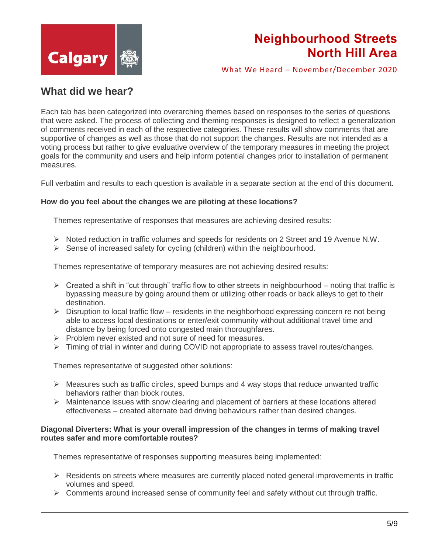

What We Heard – November/December 2020

### **What did we hear?**

Each tab has been categorized into overarching themes based on responses to the series of questions that were asked. The process of collecting and theming responses is designed to reflect a generalization of comments received in each of the respective categories. These results will show comments that are supportive of changes as well as those that do not support the changes. Results are not intended as a voting process but rather to give evaluative overview of the temporary measures in meeting the project goals for the community and users and help inform potential changes prior to installation of permanent measures.

Full verbatim and results to each question is available in a separate section at the end of this document.

#### **How do you feel about the changes we are piloting at these locations?**

Themes representative of responses that measures are achieving desired results:

- $\triangleright$  Noted reduction in traffic volumes and speeds for residents on 2 Street and 19 Avenue N.W.
- $\triangleright$  Sense of increased safety for cycling (children) within the neighbourhood.

Themes representative of temporary measures are not achieving desired results:

- $\triangleright$  Created a shift in "cut through" traffic flow to other streets in neighbourhood noting that traffic is bypassing measure by going around them or utilizing other roads or back alleys to get to their destination.
- $\triangleright$  Disruption to local traffic flow residents in the neighborhood expressing concern re not being able to access local destinations or enter/exit community without additional travel time and distance by being forced onto congested main thoroughfares.
- $\triangleright$  Problem never existed and not sure of need for measures.
- $\triangleright$  Timing of trial in winter and during COVID not appropriate to assess travel routes/changes.

Themes representative of suggested other solutions:

- $\triangleright$  Measures such as traffic circles, speed bumps and 4 way stops that reduce unwanted traffic behaviors rather than block routes.
- $\triangleright$  Maintenance issues with snow clearing and placement of barriers at these locations altered effectiveness – created alternate bad driving behaviours rather than desired changes.

#### **Diagonal Diverters: What is your overall impression of the changes in terms of making travel routes safer and more comfortable routes?**

Themes representative of responses supporting measures being implemented:

- $\triangleright$  Residents on streets where measures are currently placed noted general improvements in traffic volumes and speed.
- $\triangleright$  Comments around increased sense of community feel and safety without cut through traffic.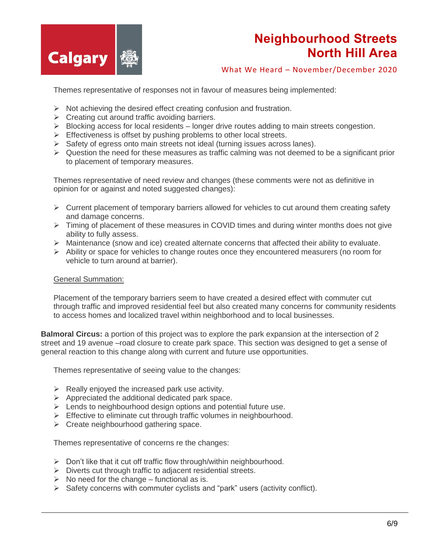

What We Heard – November/December 2020

Themes representative of responses not in favour of measures being implemented:

- $\triangleright$  Not achieving the desired effect creating confusion and frustration.
- $\triangleright$  Creating cut around traffic avoiding barriers.
- $\triangleright$  Blocking access for local residents longer drive routes adding to main streets congestion.
- $\triangleright$  Effectiveness is offset by pushing problems to other local streets.
- $\triangleright$  Safety of egress onto main streets not ideal (turning issues across lanes).
- $\triangleright$  Question the need for these measures as traffic calming was not deemed to be a significant prior to placement of temporary measures.

Themes representative of need review and changes (these comments were not as definitive in opinion for or against and noted suggested changes):

- $\triangleright$  Current placement of temporary barriers allowed for vehicles to cut around them creating safety and damage concerns.
- $\triangleright$  Timing of placement of these measures in COVID times and during winter months does not give ability to fully assess.
- $\triangleright$  Maintenance (snow and ice) created alternate concerns that affected their ability to evaluate.
- $\triangleright$  Ability or space for vehicles to change routes once they encountered measurers (no room for vehicle to turn around at barrier).

#### General Summation:

Placement of the temporary barriers seem to have created a desired effect with commuter cut through traffic and improved residential feel but also created many concerns for community residents to access homes and localized travel within neighborhood and to local businesses.

**Balmoral Circus:** a portion of this project was to explore the park expansion at the intersection of 2 street and 19 avenue –road closure to create park space. This section was designed to get a sense of general reaction to this change along with current and future use opportunities.

Themes representative of seeing value to the changes:

- $\triangleright$  Really enjoyed the increased park use activity.
- $\triangleright$  Appreciated the additional dedicated park space.
- $\triangleright$  Lends to neighbourhood design options and potential future use.
- $\triangleright$  Effective to eliminate cut through traffic volumes in neighbourhood.
- $\triangleright$  Create neighbourhood gathering space.

Themes representative of concerns re the changes:

- $\triangleright$  Don't like that it cut off traffic flow through/within neighbourhood.
- $\triangleright$  Diverts cut through traffic to adjacent residential streets.
- $\triangleright$  No need for the change functional as is.
- $\triangleright$  Safety concerns with commuter cyclists and "park" users (activity conflict).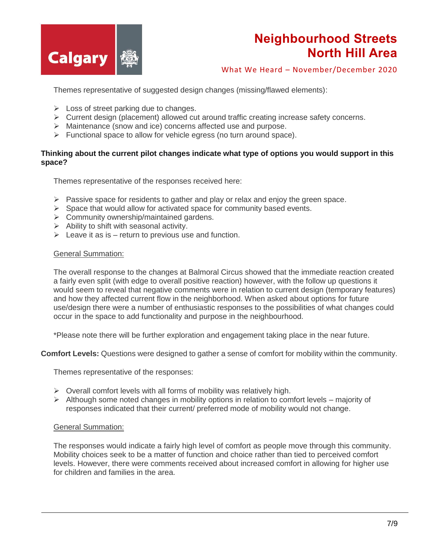

What We Heard – November/December 2020

Themes representative of suggested design changes (missing/flawed elements):

- $\triangleright$  Loss of street parking due to changes.
- Current design (placement) allowed cut around traffic creating increase safety concerns.
- > Maintenance (snow and ice) concerns affected use and purpose.
- $\triangleright$  Functional space to allow for vehicle egress (no turn around space).

#### **Thinking about the current pilot changes indicate what type of options you would support in this space?**

Themes representative of the responses received here:

- $\triangleright$  Passive space for residents to gather and play or relax and enjoy the green space.
- $\triangleright$  Space that would allow for activated space for community based events.
- Community ownership/maintained gardens.
- $\triangleright$  Ability to shift with seasonal activity.
- $\triangleright$  Leave it as is return to previous use and function.

#### General Summation:

The overall response to the changes at Balmoral Circus showed that the immediate reaction created a fairly even split (with edge to overall positive reaction) however, with the follow up questions it would seem to reveal that negative comments were in relation to current design (temporary features) and how they affected current flow in the neighborhood. When asked about options for future use/design there were a number of enthusiastic responses to the possibilities of what changes could occur in the space to add functionality and purpose in the neighbourhood.

\*Please note there will be further exploration and engagement taking place in the near future.

**Comfort Levels:** Questions were designed to gather a sense of comfort for mobility within the community.

Themes representative of the responses:

- $\triangleright$  Overall comfort levels with all forms of mobility was relatively high.
- $\triangleright$  Although some noted changes in mobility options in relation to comfort levels majority of responses indicated that their current/ preferred mode of mobility would not change.

#### General Summation:

The responses would indicate a fairly high level of comfort as people move through this community. Mobility choices seek to be a matter of function and choice rather than tied to perceived comfort levels. However, there were comments received about increased comfort in allowing for higher use for children and families in the area.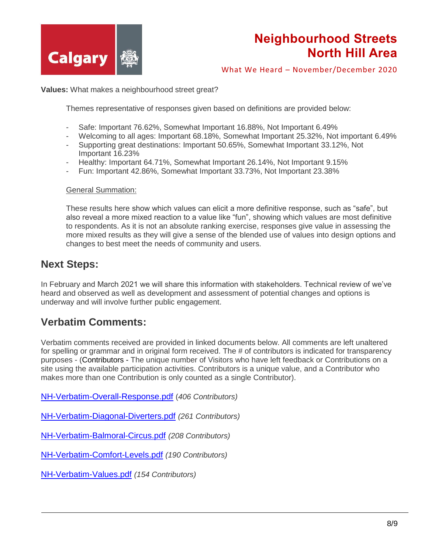

What We Heard – November/December 2020

**Values:** What makes a neighbourhood street great?

Themes representative of responses given based on definitions are provided below:

- Safe: Important 76.62%, Somewhat Important 16.88%, Not Important 6.49%
- Welcoming to all ages: Important 68.18%, Somewhat Important 25.32%, Not important 6.49%
- Supporting great destinations: Important 50.65%, Somewhat Important 33.12%, Not Important 16.23%
- Healthy: Important 64.71%, Somewhat Important 26.14%, Not Important 9.15%
- Fun: Important 42.86%, Somewhat Important 33.73%, Not Important 23.38%

#### General Summation:

These results here show which values can elicit a more definitive response, such as "safe", but also reveal a more mixed reaction to a value like "fun", showing which values are most definitive to respondents. As it is not an absolute ranking exercise, responses give value in assessing the more mixed results as they will give a sense of the blended use of values into design options and changes to best meet the needs of community and users.

### **Next Steps:**

In February and March 2021 we will share this information with stakeholders. Technical review of we've heard and observed as well as development and assessment of potential changes and options is underway and will involve further public engagement.

### **Verbatim Comments:**

Verbatim comments received are provided in linked documents below. All comments are left unaltered for spelling or grammar and in original form received. The # of contributors is indicated for transparency purposes - (Contributors - The unique number of Visitors who have left feedback or Contributions on a site using the available participation activities. Contributors is a unique value, and a Contributor who makes more than one Contribution is only counted as a single Contributor).

[NH-Verbatim-Overall-Response.pdf](https://www.calgary.ca/content/dam/www/engage/documents/northhill/NH-Verbatim-Overall-Response.pdf) (*406 Contributors)*

[NH-Verbatim-Diagonal-Diverters.pdf](https://www.calgary.ca/content/dam/www/engage/documents/northhill/NH-Verbatim-Diagonal-Diverters.pdf) *(261 Contributors)*

[NH-Verbatim-Balmoral-Circus.pdf](https://www.calgary.ca/content/dam/www/engage/documents/northhill/NH-Verbatim-Balmoral-Circus.pdf) *(208 Contributors)*

[NH-Verbatim-Comfort-Levels.pdf](https://www.calgary.ca/content/dam/www/engage/documents/northhill/NH-Verbatim-Comfort-Levels.pdf) *(190 Contributors)*

[NH-Verbatim-Values.pdf](https://www.calgary.ca/content/dam/www/engage/documents/northhill/NH-Verbatim-Values.pdf) *(154 Contributors)*